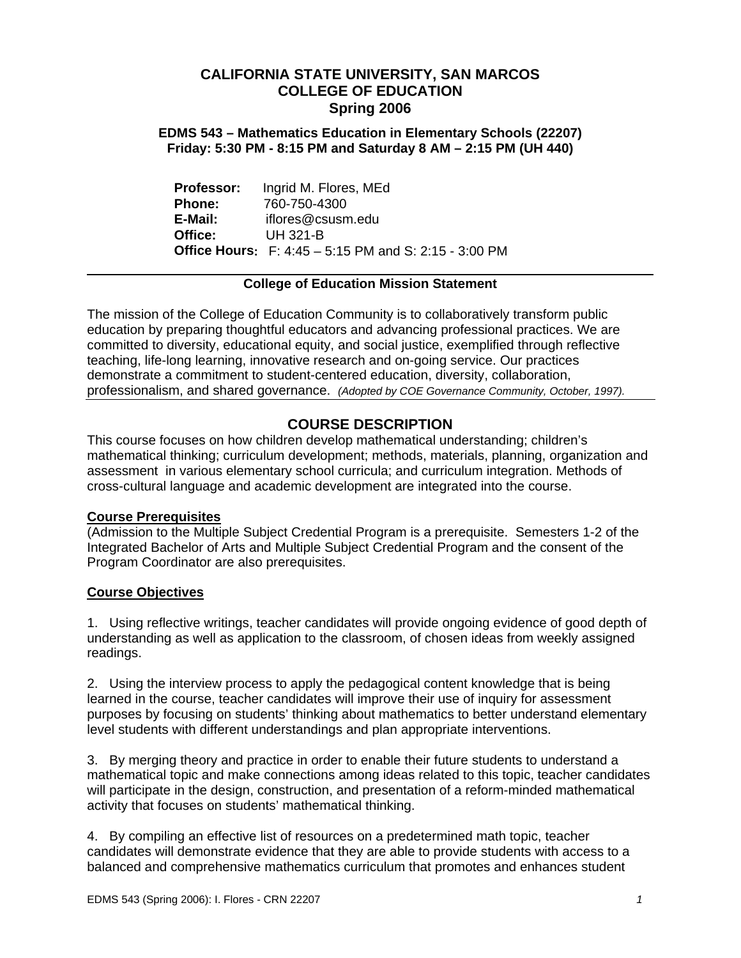## **CALIFORNIA STATE UNIVERSITY, SAN MARCOS COLLEGE OF EDUCATION Spring 2006**

**EDMS 543 – Mathematics Education in Elementary Schools (22207) Friday: 5:30 PM - 8:15 PM and Saturday 8 AM – 2:15 PM (UH 440)** 

**Professor:** Ingrid M. Flores, MEd **Phone:** 760-750-4300 **E-Mail:** iflores@csusm.edu **Office:** UH 321-B **Office Hours:** F: 4:45 – 5:15 PM and S: 2:15 - 3:00 PM

## **College of Education Mission Statement**

The mission of the College of Education Community is to collaboratively transform public education by preparing thoughtful educators and advancing professional practices. We are committed to diversity, educational equity, and social justice, exemplified through reflective teaching, life-long learning, innovative research and on-going service. Our practices demonstrate a commitment to student-centered education, diversity, collaboration, professionalism, and shared governance. *(Adopted by COE Governance Community, October, 1997).* 

## **COURSE DESCRIPTION**

This course focuses on how children develop mathematical understanding; children's mathematical thinking; curriculum development; methods, materials, planning, organization and assessment in various elementary school curricula; and curriculum integration. Methods of cross-cultural language and academic development are integrated into the course.

## **Course Prerequisites**

(Admission to the Multiple Subject Credential Program is a prerequisite. Semesters 1-2 of the Integrated Bachelor of Arts and Multiple Subject Credential Program and the consent of the Program Coordinator are also prerequisites.

## **Course Objectives**

1. Using reflective writings, teacher candidates will provide ongoing evidence of good depth of understanding as well as application to the classroom, of chosen ideas from weekly assigned readings.

2. Using the interview process to apply the pedagogical content knowledge that is being learned in the course, teacher candidates will improve their use of inquiry for assessment purposes by focusing on students' thinking about mathematics to better understand elementary level students with different understandings and plan appropriate interventions.

3. By merging theory and practice in order to enable their future students to understand a mathematical topic and make connections among ideas related to this topic, teacher candidates will participate in the design, construction, and presentation of a reform-minded mathematical activity that focuses on students' mathematical thinking.

4. By compiling an effective list of resources on a predetermined math topic, teacher candidates will demonstrate evidence that they are able to provide students with access to a balanced and comprehensive mathematics curriculum that promotes and enhances student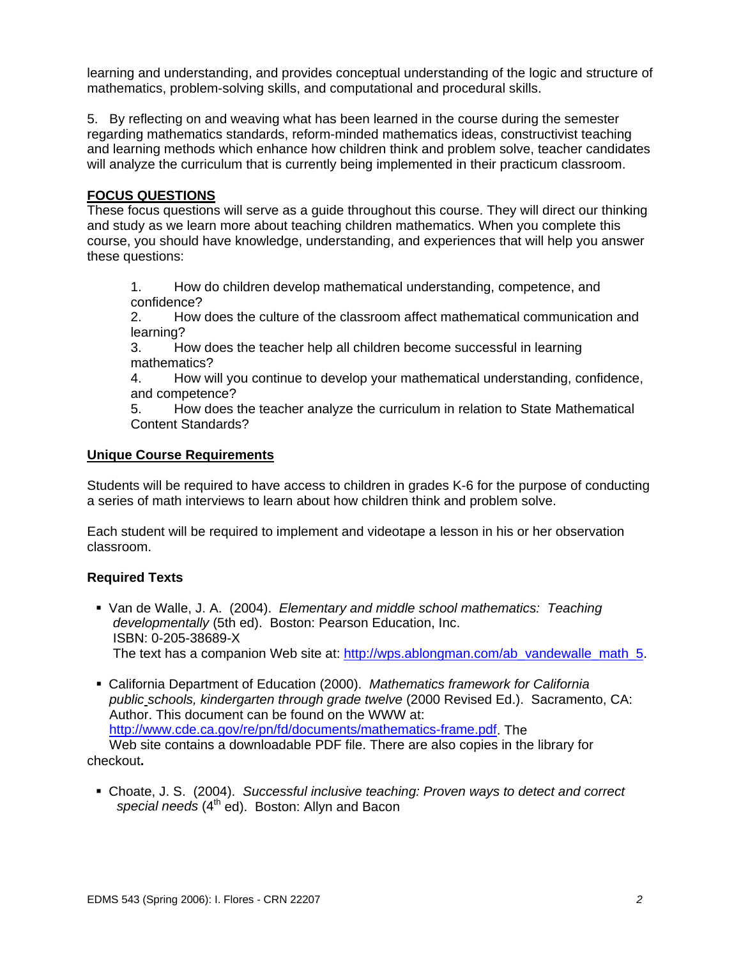learning and understanding, and provides conceptual understanding of the logic and structure of mathematics, problem-solving skills, and computational and procedural skills.

5. By reflecting on and weaving what has been learned in the course during the semester regarding mathematics standards, reform-minded mathematics ideas, constructivist teaching and learning methods which enhance how children think and problem solve, teacher candidates will analyze the curriculum that is currently being implemented in their practicum classroom.

## **FOCUS QUESTIONS**

These focus questions will serve as a guide throughout this course. They will direct our thinking and study as we learn more about teaching children mathematics. When you complete this course, you should have knowledge, understanding, and experiences that will help you answer these questions:

1. How do children develop mathematical understanding, competence, and confidence?

2. How does the culture of the classroom affect mathematical communication and learning?

3. How does the teacher help all children become successful in learning mathematics?

4. How will you continue to develop your mathematical understanding, confidence, and competence?

5. How does the teacher analyze the curriculum in relation to State Mathematical Content Standards?

## **Unique Course Requirements**

Students will be required to have access to children in grades K-6 for the purpose of conducting a series of math interviews to learn about how children think and problem solve.

Each student will be required to implement and videotape a lesson in his or her observation classroom.

## **Required Texts**

- Van de Walle, J. A. (2004). *Elementary and middle school mathematics: Teaching developmentally* (5th ed). Boston: Pearson Education, Inc. ISBN: 0-205-38689-X The text has a companion Web site at: http://wps.ablongman.com/ab\_vandewalle\_math\_5.
- California Department of Education (2000). *Mathematics framework for California public schools, kindergarten through grade twelve* (2000 Revised Ed.). Sacramento, CA: Author. This document can be found on the WWW at: http://www.cde.ca.gov/re/pn/fd/documents/mathematics-frame.pdf. The Web site contains a downloadable PDF file. There are also copies in the library for

## checkout**.**

 Choate, J. S. (2004). *Successful inclusive teaching: Proven ways to detect and correct*  special needs (4<sup>th</sup> ed). Boston: Allyn and Bacon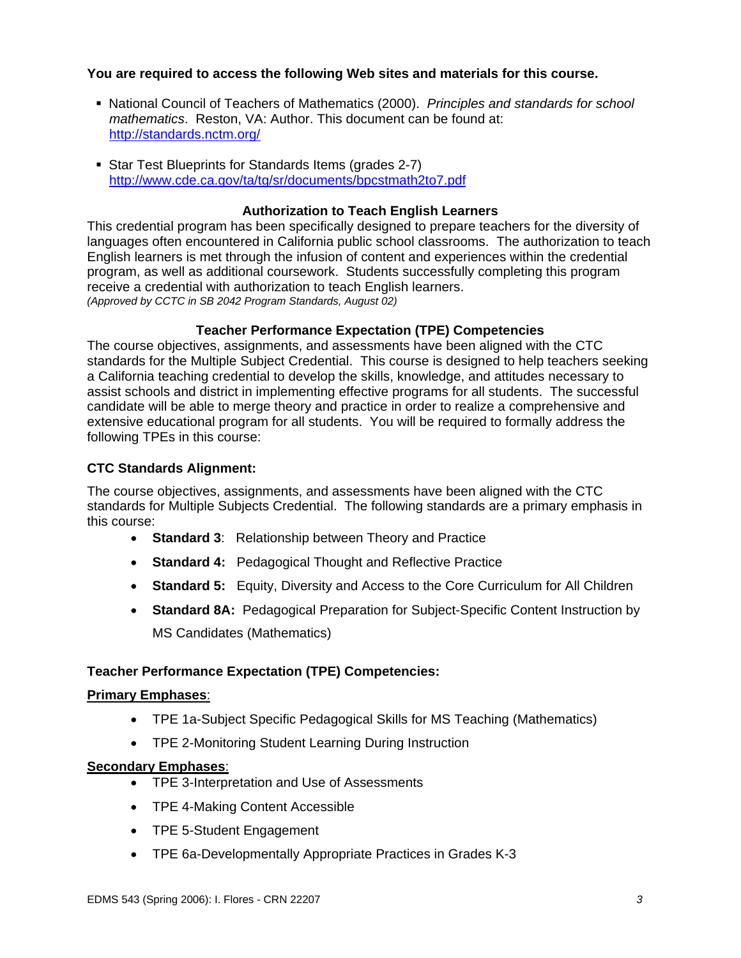## **You are required to access the following Web sites and materials for this course.**

- National Council of Teachers of Mathematics (2000). *Principles and standards for school mathematics*. Reston, VA: Author. This document can be found at: http://standards.nctm.org/
- Star Test Blueprints for Standards Items (grades 2-7) http://www.cde.ca.gov/ta/tg/sr/documents/bpcstmath2to7.pdf

#### **Authorization to Teach English Learners**

This credential program has been specifically designed to prepare teachers for the diversity of languages often encountered in California public school classrooms. The authorization to teach English learners is met through the infusion of content and experiences within the credential program, as well as additional coursework. Students successfully completing this program receive a credential with authorization to teach English learners. *(Approved by CCTC in SB 2042 Program Standards, August 02)*

## **Teacher Performance Expectation (TPE) Competencies**

The course objectives, assignments, and assessments have been aligned with the CTC standards for the Multiple Subject Credential. This course is designed to help teachers seeking a California teaching credential to develop the skills, knowledge, and attitudes necessary to assist schools and district in implementing effective programs for all students. The successful candidate will be able to merge theory and practice in order to realize a comprehensive and extensive educational program for all students. You will be required to formally address the following TPEs in this course:

#### **CTC Standards Alignment:**

The course objectives, assignments, and assessments have been aligned with the CTC standards for Multiple Subjects Credential. The following standards are a primary emphasis in this course:

- **Standard 3**: Relationship between Theory and Practice
- **Standard 4:** Pedagogical Thought and Reflective Practice
- **Standard 5:** Equity, Diversity and Access to the Core Curriculum for All Children
- **Standard 8A:** Pedagogical Preparation for Subject-Specific Content Instruction by MS Candidates (Mathematics)

## **Teacher Performance Expectation (TPE) Competencies:**

## **Primary Emphases**:

- TPE 1a-Subject Specific Pedagogical Skills for MS Teaching (Mathematics)
- TPE 2-Monitoring Student Learning During Instruction

#### **Secondary Emphases**:

- TPE 3-Interpretation and Use of Assessments
- TPE 4-Making Content Accessible
- TPE 5-Student Engagement
- TPE 6a-Developmentally Appropriate Practices in Grades K-3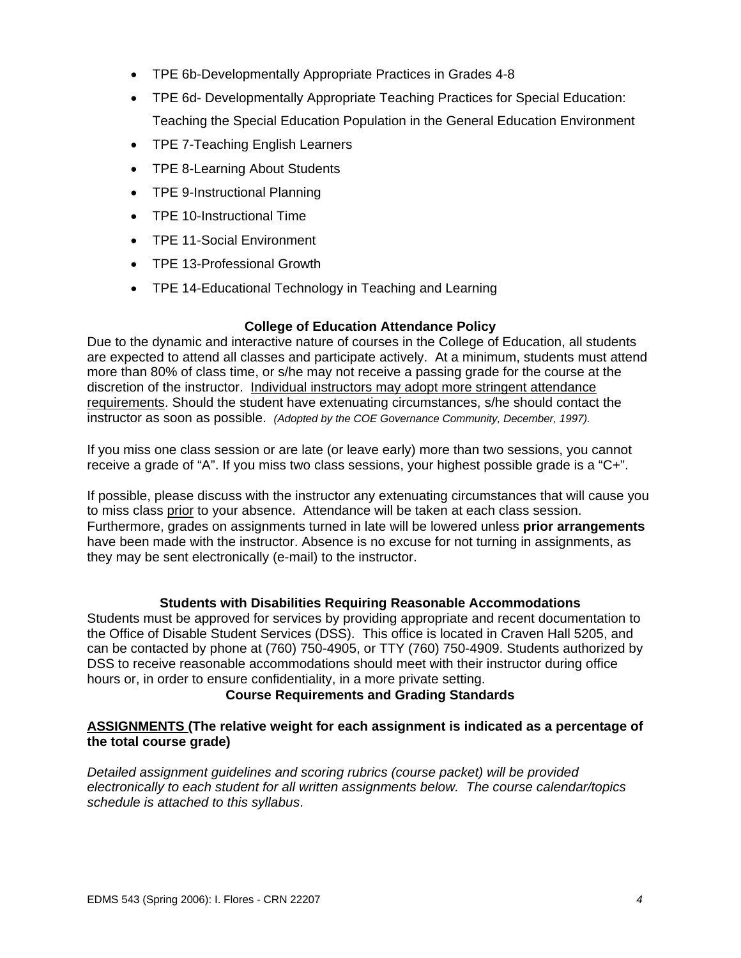- TPE 6b-Developmentally Appropriate Practices in Grades 4-8
- TPE 6d- Developmentally Appropriate Teaching Practices for Special Education: Teaching the Special Education Population in the General Education Environment
- TPE 7-Teaching English Learners
- TPE 8-Learning About Students
- TPE 9-Instructional Planning
- TPE 10-Instructional Time
- TPE 11-Social Environment
- TPE 13-Professional Growth
- TPE 14-Educational Technology in Teaching and Learning

## **College of Education Attendance Policy**

Due to the dynamic and interactive nature of courses in the College of Education, all students are expected to attend all classes and participate actively. At a minimum, students must attend more than 80% of class time, or s/he may not receive a passing grade for the course at the discretion of the instructor. Individual instructors may adopt more stringent attendance requirements. Should the student have extenuating circumstances, s/he should contact the instructor as soon as possible. *(Adopted by the COE Governance Community, December, 1997).*

If you miss one class session or are late (or leave early) more than two sessions, you cannot receive a grade of "A". If you miss two class sessions, your highest possible grade is a "C+".

If possible, please discuss with the instructor any extenuating circumstances that will cause you to miss class prior to your absence. Attendance will be taken at each class session. Furthermore, grades on assignments turned in late will be lowered unless **prior arrangements**  have been made with the instructor. Absence is no excuse for not turning in assignments, as they may be sent electronically (e-mail) to the instructor.

#### **Students with Disabilities Requiring Reasonable Accommodations**

Students must be approved for services by providing appropriate and recent documentation to the Office of Disable Student Services (DSS). This office is located in Craven Hall 5205, and can be contacted by phone at (760) 750-4905, or TTY (760) 750-4909. Students authorized by DSS to receive reasonable accommodations should meet with their instructor during office hours or, in order to ensure confidentiality, in a more private setting.

#### **Course Requirements and Grading Standards**

## **ASSIGNMENTS (The relative weight for each assignment is indicated as a percentage of the total course grade)**

*Detailed assignment guidelines and scoring rubrics (course packet) will be provided electronically to each student for all written assignments below. The course calendar/topics schedule is attached to this syllabus*.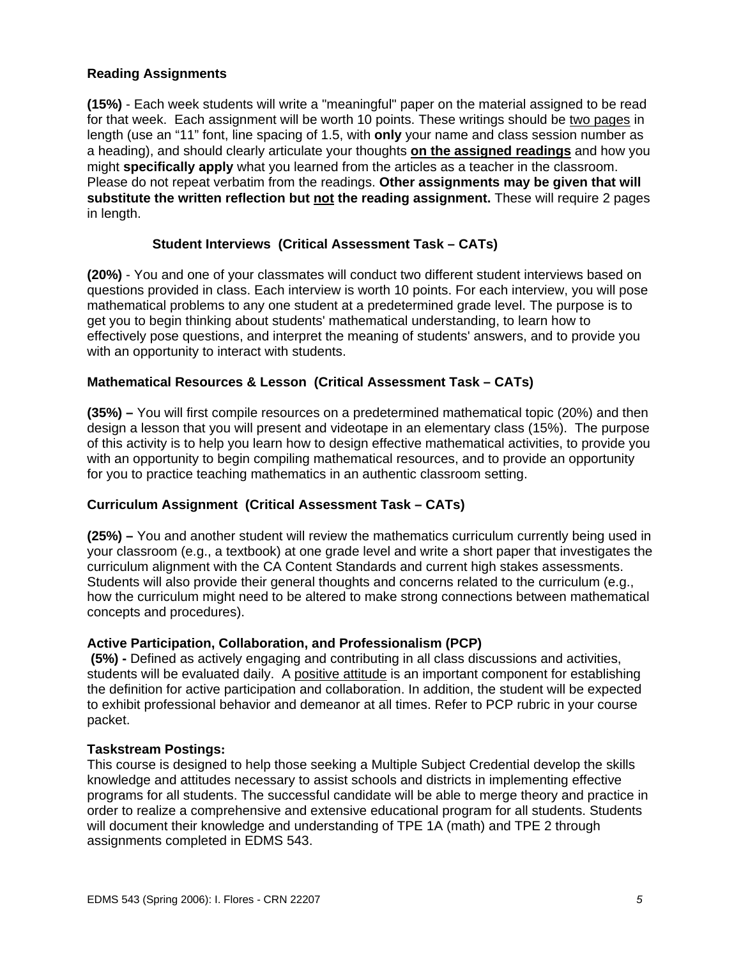## **Reading Assignments**

**(15%)** - Each week students will write a "meaningful" paper on the material assigned to be read for that week. Each assignment will be worth 10 points. These writings should be two pages in length (use an "11" font, line spacing of 1.5, with **only** your name and class session number as a heading), and should clearly articulate your thoughts **on the assigned readings** and how you might **specifically apply** what you learned from the articles as a teacher in the classroom. Please do not repeat verbatim from the readings. **Other assignments may be given that will substitute the written reflection but not the reading assignment.** These will require 2 pages in length.

## **Student Interviews (Critical Assessment Task – CATs)**

**(20%)** - You and one of your classmates will conduct two different student interviews based on questions provided in class. Each interview is worth 10 points. For each interview, you will pose mathematical problems to any one student at a predetermined grade level. The purpose is to get you to begin thinking about students' mathematical understanding, to learn how to effectively pose questions, and interpret the meaning of students' answers, and to provide you with an opportunity to interact with students.

## **Mathematical Resources & Lesson (Critical Assessment Task – CATs)**

**(35%) –** You will first compile resources on a predetermined mathematical topic (20%) and then design a lesson that you will present and videotape in an elementary class (15%). The purpose of this activity is to help you learn how to design effective mathematical activities, to provide you with an opportunity to begin compiling mathematical resources, and to provide an opportunity for you to practice teaching mathematics in an authentic classroom setting.

## **Curriculum Assignment (Critical Assessment Task – CATs)**

**(25%) –** You and another student will review the mathematics curriculum currently being used in your classroom (e.g., a textbook) at one grade level and write a short paper that investigates the curriculum alignment with the CA Content Standards and current high stakes assessments. Students will also provide their general thoughts and concerns related to the curriculum (e.g., how the curriculum might need to be altered to make strong connections between mathematical concepts and procedures).

## **Active Participation, Collaboration, and Professionalism (PCP)**

 **(5%) -** Defined as actively engaging and contributing in all class discussions and activities, students will be evaluated daily. A positive attitude is an important component for establishing the definition for active participation and collaboration. In addition, the student will be expected to exhibit professional behavior and demeanor at all times. Refer to PCP rubric in your course packet.

## **Taskstream Postings:**

This course is designed to help those seeking a Multiple Subject Credential develop the skills knowledge and attitudes necessary to assist schools and districts in implementing effective programs for all students. The successful candidate will be able to merge theory and practice in order to realize a comprehensive and extensive educational program for all students. Students will document their knowledge and understanding of TPE 1A (math) and TPE 2 through assignments completed in EDMS 543.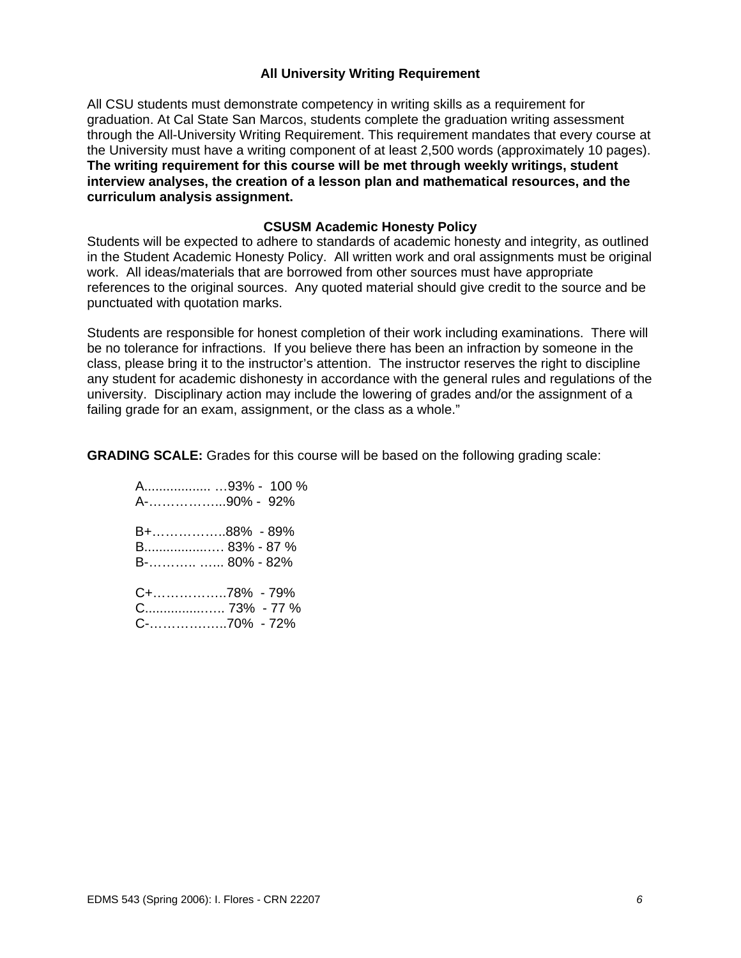### **All University Writing Requirement**

All CSU students must demonstrate competency in writing skills as a requirement for graduation. At Cal State San Marcos, students complete the graduation writing assessment through the All-University Writing Requirement. This requirement mandates that every course at the University must have a writing component of at least 2,500 words (approximately 10 pages). **The writing requirement for this course will be met through weekly writings, student interview analyses, the creation of a lesson plan and mathematical resources, and the curriculum analysis assignment.**

#### **CSUSM Academic Honesty Policy**

Students will be expected to adhere to standards of academic honesty and integrity, as outlined in the Student Academic Honesty Policy. All written work and oral assignments must be original work. All ideas/materials that are borrowed from other sources must have appropriate references to the original sources. Any quoted material should give credit to the source and be punctuated with quotation marks.

Students are responsible for honest completion of their work including examinations. There will be no tolerance for infractions. If you believe there has been an infraction by someone in the class, please bring it to the instructor's attention. The instructor reserves the right to discipline any student for academic dishonesty in accordance with the general rules and regulations of the university. Disciplinary action may include the lowering of grades and/or the assignment of a failing grade for an exam, assignment, or the class as a whole."

**GRADING SCALE:** Grades for this course will be based on the following grading scale:

|              | A93% - 100 % |
|--------------|--------------|
| A-90% - 92%  |              |
|              |              |
| B+88% - 89%  |              |
|              |              |
|              |              |
|              |              |
| C+78% - 79%  |              |
| C 73% - 77 % |              |
|              |              |

C-………….…..70% - 72%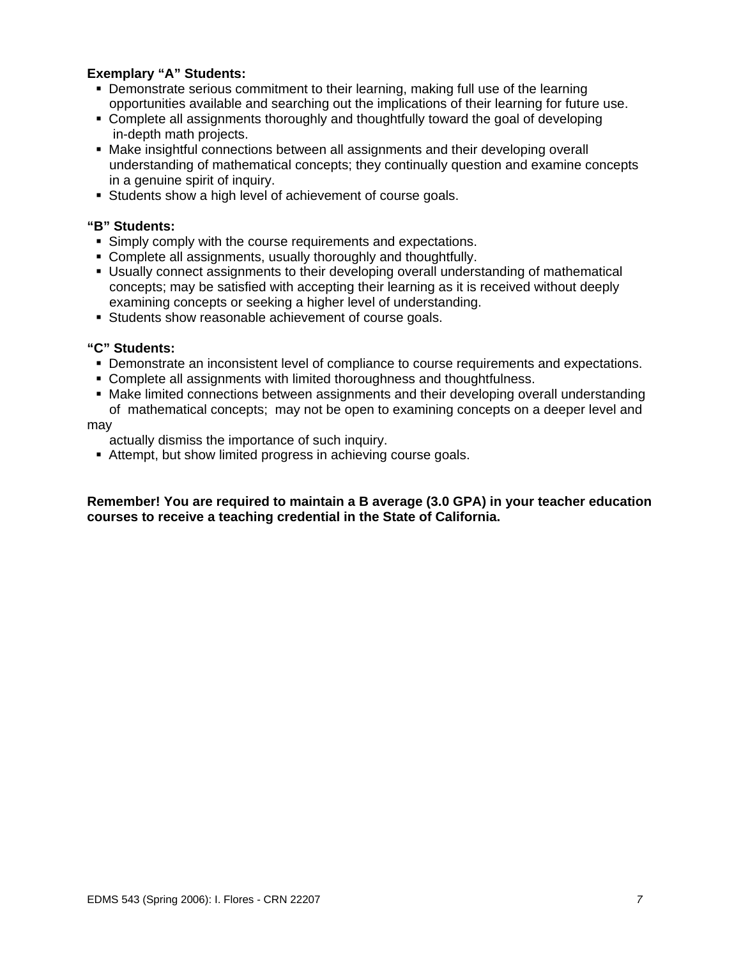## **Exemplary "A" Students:**

- Demonstrate serious commitment to their learning, making full use of the learning opportunities available and searching out the implications of their learning for future use.
- Complete all assignments thoroughly and thoughtfully toward the goal of developing in-depth math projects.
- Make insightful connections between all assignments and their developing overall understanding of mathematical concepts; they continually question and examine concepts in a genuine spirit of inquiry.
- Students show a high level of achievement of course goals.

## **"B" Students:**

- Simply comply with the course requirements and expectations.
- Complete all assignments, usually thoroughly and thoughtfully.
- Usually connect assignments to their developing overall understanding of mathematical concepts; may be satisfied with accepting their learning as it is received without deeply examining concepts or seeking a higher level of understanding.
- Students show reasonable achievement of course goals.

#### **"C" Students:**

- **Demonstrate an inconsistent level of compliance to course requirements and expectations.**
- Complete all assignments with limited thoroughness and thoughtfulness.
- Make limited connections between assignments and their developing overall understanding of mathematical concepts; may not be open to examining concepts on a deeper level and

may

actually dismiss the importance of such inquiry.

Attempt, but show limited progress in achieving course goals.

**Remember! You are required to maintain a B average (3.0 GPA) in your teacher education courses to receive a teaching credential in the State of California.**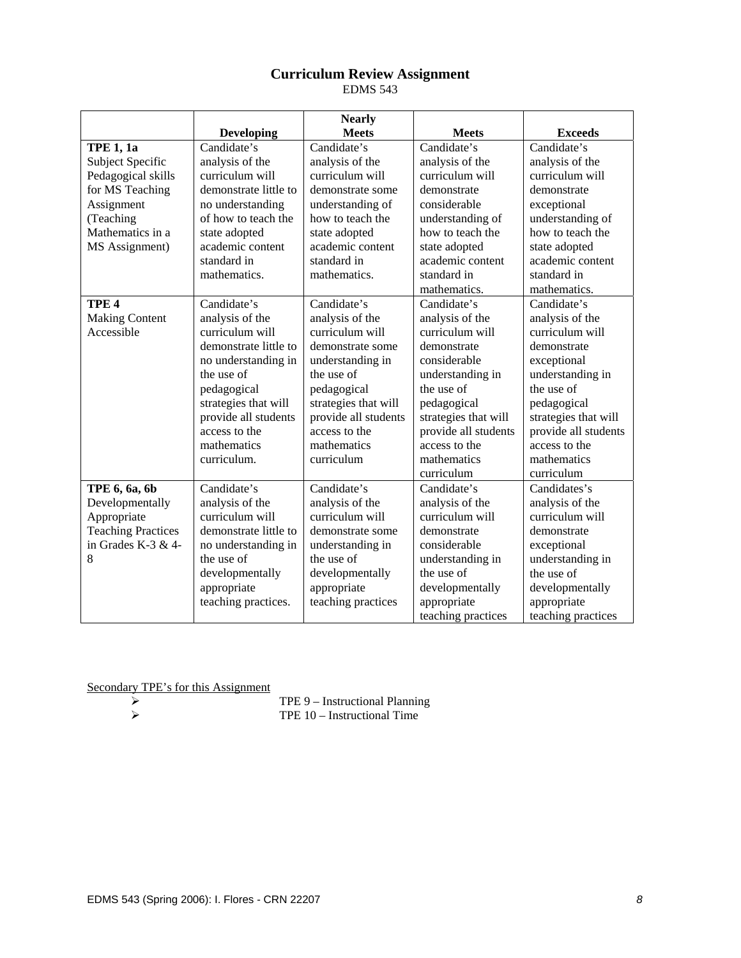## **Curriculum Review Assignment**

EDMS 543

|                           |                       | <b>Nearly</b>        |                                      |                      |
|---------------------------|-----------------------|----------------------|--------------------------------------|----------------------|
|                           | <b>Developing</b>     | <b>Meets</b>         | <b>Meets</b>                         | <b>Exceeds</b>       |
| <b>TPE 1, 1a</b>          | Candidate's           | Candidate's          | Candidate's                          | Candidate's          |
| Subject Specific          | analysis of the       | analysis of the      | analysis of the                      | analysis of the      |
| Pedagogical skills        | curriculum will       | curriculum will      | curriculum will<br>curriculum will   |                      |
| for MS Teaching           | demonstrate little to | demonstrate some     | demonstrate<br>demonstrate           |                      |
| Assignment                | no understanding      | understanding of     | considerable                         | exceptional          |
| (Teaching                 | of how to teach the   | how to teach the     | understanding of<br>understanding of |                      |
| Mathematics in a          | state adopted         | state adopted        | how to teach the                     | how to teach the     |
| MS Assignment)            | academic content      | academic content     | state adopted                        | state adopted        |
|                           | standard in           | standard in          | academic content                     | academic content     |
|                           | mathematics.          | mathematics.         | standard in                          | standard in          |
|                           |                       |                      | mathematics.                         | mathematics.         |
| TPE <sub>4</sub>          | Candidate's           | Candidate's          | Candidate's                          | Candidate's          |
| <b>Making Content</b>     | analysis of the       | analysis of the      | analysis of the                      | analysis of the      |
| Accessible                | curriculum will       | curriculum will      | curriculum will                      | curriculum will      |
|                           | demonstrate little to | demonstrate some     | demonstrate                          | demonstrate          |
|                           | no understanding in   | understanding in     | considerable                         | exceptional          |
|                           | the use of            | the use of           | understanding in                     | understanding in     |
|                           | pedagogical           | pedagogical          | the use of                           | the use of           |
|                           | strategies that will  | strategies that will | pedagogical                          | pedagogical          |
|                           | provide all students  | provide all students | strategies that will                 | strategies that will |
|                           | access to the         | access to the        | provide all students                 | provide all students |
|                           | mathematics           | mathematics          | access to the                        | access to the        |
|                           | curriculum.           | curriculum           | mathematics                          | mathematics          |
|                           |                       |                      | curriculum                           | curriculum           |
| TPE 6, 6a, 6b             | Candidate's           | Candidate's          | Candidate's                          | Candidates's         |
| Developmentally           | analysis of the       | analysis of the      | analysis of the                      | analysis of the      |
| Appropriate               | curriculum will       | curriculum will      | curriculum will                      | curriculum will      |
| <b>Teaching Practices</b> | demonstrate little to | demonstrate some     | demonstrate                          | demonstrate          |
| in Grades K-3 $&$ 4-      | no understanding in   | understanding in     | considerable                         | exceptional          |
| 8                         | the use of            | the use of           | understanding in                     | understanding in     |
|                           | developmentally       | developmentally      | the use of                           | the use of           |
|                           | appropriate           | appropriate          | developmentally                      | developmentally      |
|                           | teaching practices.   | teaching practices   | appropriate                          | appropriate          |
|                           |                       |                      | teaching practices                   | teaching practices   |

Secondary TPE's for this Assignment<br>  $\rightarrow$ 

¾ TPE 9 – Instructional Planning

¾ TPE 10 – Instructional Time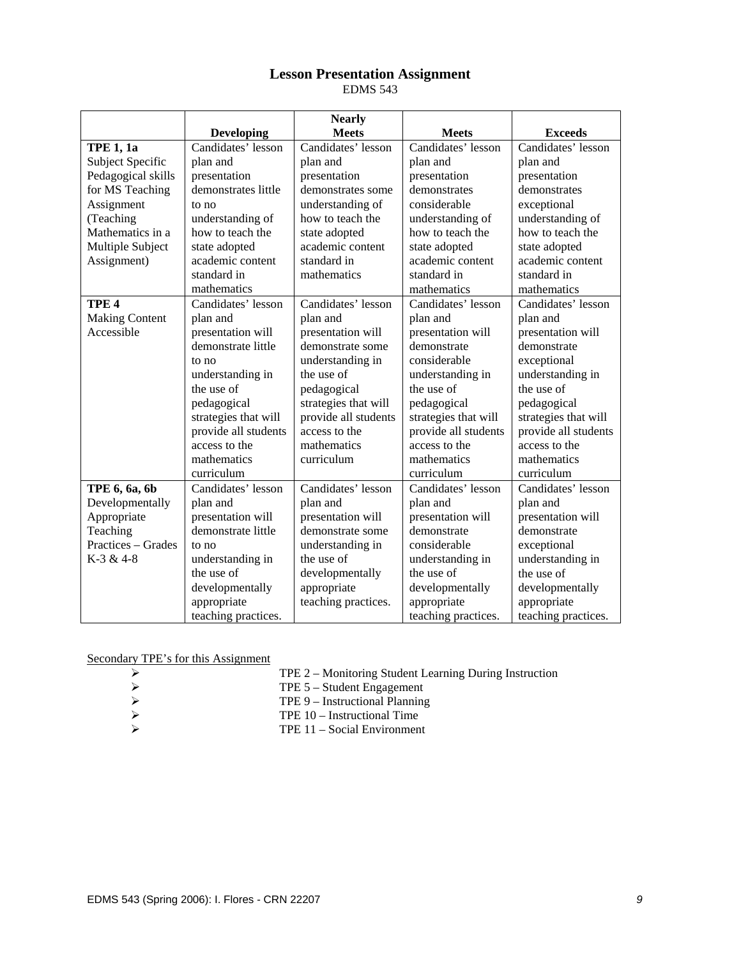## **Lesson Presentation Assignment**

EDMS 543

|                       |                      | <b>Nearly</b>        |                      |                      |  |
|-----------------------|----------------------|----------------------|----------------------|----------------------|--|
|                       | <b>Developing</b>    | <b>Meets</b>         | <b>Meets</b>         | <b>Exceeds</b>       |  |
| <b>TPE 1, 1a</b>      | Candidates' lesson   | Candidates' lesson   | Candidates' lesson   | Candidates' lesson   |  |
| Subject Specific      | plan and             | plan and             | plan and             | plan and             |  |
| Pedagogical skills    | presentation         | presentation         | presentation         | presentation         |  |
| for MS Teaching       | demonstrates little  | demonstrates some    | demonstrates         | demonstrates         |  |
| Assignment            | to no                | understanding of     | considerable         | exceptional          |  |
| (Teaching             | understanding of     | how to teach the     | understanding of     | understanding of     |  |
| Mathematics in a      | how to teach the     | state adopted        | how to teach the     | how to teach the     |  |
| Multiple Subject      | state adopted        | academic content     | state adopted        | state adopted        |  |
| Assignment)           | academic content     | standard in          | academic content     | academic content     |  |
|                       | standard in          | mathematics          | standard in          | standard in          |  |
|                       | mathematics          |                      | mathematics          | mathematics          |  |
| TPE <sub>4</sub>      | Candidates' lesson   | Candidates' lesson   | Candidates' lesson   | Candidates' lesson   |  |
| <b>Making Content</b> | plan and             | plan and             | plan and             | plan and             |  |
| Accessible            | presentation will    | presentation will    | presentation will    | presentation will    |  |
|                       | demonstrate little   | demonstrate some     | demonstrate          | demonstrate          |  |
|                       | to no                | understanding in     | considerable         | exceptional          |  |
|                       | understanding in     | the use of           | understanding in     | understanding in     |  |
|                       | the use of           | pedagogical          | the use of           | the use of           |  |
|                       | pedagogical          | strategies that will | pedagogical          | pedagogical          |  |
|                       | strategies that will | provide all students | strategies that will | strategies that will |  |
|                       | provide all students | access to the        | provide all students | provide all students |  |
|                       | access to the        | mathematics          | access to the        | access to the        |  |
|                       | mathematics          | curriculum           | mathematics          | mathematics          |  |
|                       | curriculum           |                      | curriculum           | curriculum           |  |
| TPE 6, 6a, 6b         | Candidates' lesson   | Candidates' lesson   | Candidates' lesson   | Candidates' lesson   |  |
| Developmentally       | plan and             | plan and             | plan and             | plan and             |  |
| Appropriate           | presentation will    | presentation will    | presentation will    | presentation will    |  |
| Teaching              | demonstrate little   | demonstrate some     | demonstrate          | demonstrate          |  |
| Practices – Grades    | to no                | understanding in     | considerable         | exceptional          |  |
| K-3 & 4-8             | understanding in     | the use of           | understanding in     | understanding in     |  |
|                       | the use of           | developmentally      | the use of           | the use of           |  |
|                       | developmentally      | appropriate          | developmentally      | developmentally      |  |
|                       | appropriate          | teaching practices.  | appropriate          | appropriate          |  |
|                       | teaching practices.  |                      | teaching practices.  | teaching practices.  |  |

Secondary TPE's for this Assignment

| TPE 2 – Monitoring Student Learning During Instruction |
|--------------------------------------------------------|
|--------------------------------------------------------|

- 
- ¾ TPE 9 Instructional Planning
- →<br>
TPE 5 Student Engagement<br>
TPE 9 Instructional Planning<br>
→<br>
TPE 10 Instructional Time<br>
→<br>
TPE 11 Social Environment ¾ TPE 10 – Instructional Time
	- ¾ TPE 11 Social Environment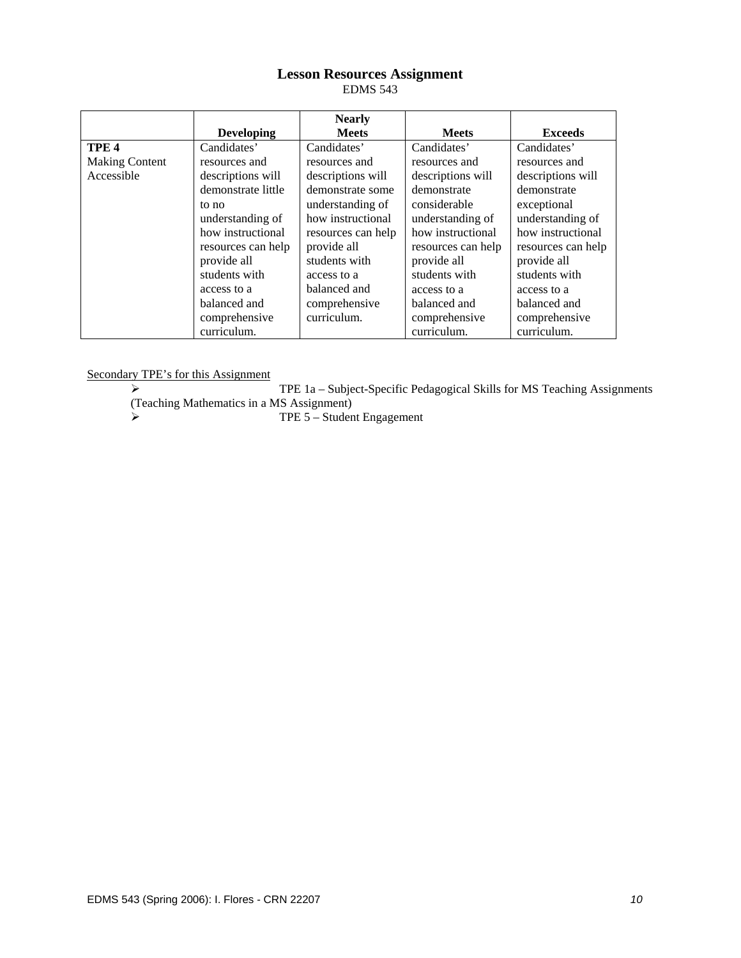## **Lesson Resources Assignment**

EDMS 543

|                       |                    | <b>Nearly</b>      |                    |                    |
|-----------------------|--------------------|--------------------|--------------------|--------------------|
|                       | <b>Developing</b>  | <b>Meets</b>       | <b>Meets</b>       | <b>Exceeds</b>     |
| TPE <sub>4</sub>      | Candidates'        | Candidates'        | Candidates'        | Candidates'        |
| <b>Making Content</b> | resources and      | resources and      | resources and      | resources and      |
| Accessible            | descriptions will  | descriptions will  | descriptions will  | descriptions will  |
|                       | demonstrate little | demonstrate some   | demonstrate        | demonstrate        |
|                       | to no              | understanding of   | considerable       | exceptional        |
|                       | understanding of   | how instructional  | understanding of   | understanding of   |
|                       | how instructional  | resources can help | how instructional  | how instructional  |
|                       | resources can help | provide all        | resources can help | resources can help |
|                       | provide all        | students with      | provide all        | provide all        |
|                       | students with      | access to a        | students with      | students with      |
|                       | access to a        | balanced and       | access to a        | access to a        |
|                       | balanced and       | comprehensive      | balanced and       | balanced and       |
|                       | comprehensive      | curriculum.        | comprehensive      | comprehensive      |
|                       | curriculum.        |                    | curriculum.        | curriculum.        |

Secondary TPE's for this Assignment

¾ TPE 1a – Subject-Specific Pedagogical Skills for MS Teaching Assignments (Teaching Mathematics in a MS Assignment)

¾ TPE 5 – Student Engagement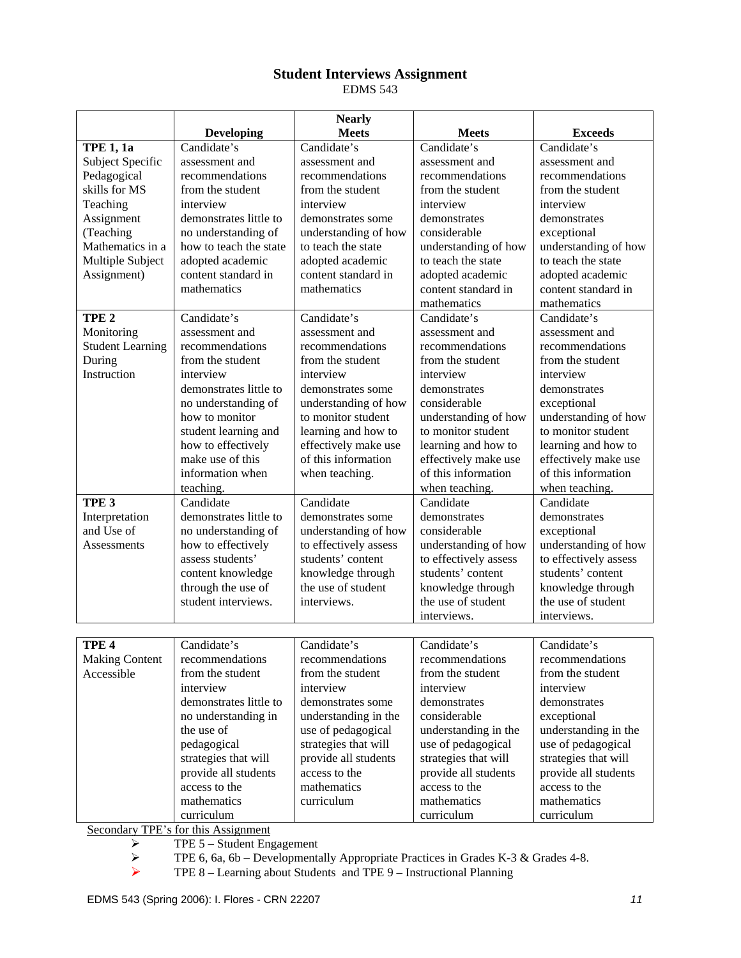# **Student Interviews Assignment**

EDMS 543

|                         |                                     | <b>Nearly</b>         |                                              |                       |
|-------------------------|-------------------------------------|-----------------------|----------------------------------------------|-----------------------|
|                         | <b>Developing</b>                   | <b>Meets</b>          | <b>Meets</b>                                 | <b>Exceeds</b>        |
| <b>TPE 1, 1a</b>        | Candidate's                         | Candidate's           | Candidate's                                  | Candidate's           |
| Subject Specific        | assessment and                      | assessment and        | assessment and                               | assessment and        |
| Pedagogical             | recommendations                     | recommendations       | recommendations<br>recommendations           |                       |
| skills for MS           | from the student                    | from the student      | from the student<br>from the student         |                       |
| Teaching                | interview                           | interview             | interview                                    | interview             |
| Assignment              | demonstrates little to              | demonstrates some     | demonstrates                                 | demonstrates          |
| (Teaching               | no understanding of                 | understanding of how  | considerable                                 | exceptional           |
| Mathematics in a        | how to teach the state              | to teach the state    | understanding of how<br>understanding of how |                       |
| Multiple Subject        | adopted academic                    | adopted academic      | to teach the state                           | to teach the state    |
| Assignment)             | content standard in                 | content standard in   | adopted academic                             | adopted academic      |
|                         | mathematics                         | mathematics           | content standard in                          | content standard in   |
|                         |                                     |                       | mathematics                                  | mathematics           |
| TPE <sub>2</sub>        | Candidate's                         | Candidate's           | Candidate's                                  | Candidate's           |
| Monitoring              | assessment and                      | assessment and        | assessment and                               | assessment and        |
| <b>Student Learning</b> | recommendations                     | recommendations       | recommendations                              | recommendations       |
| During                  | from the student                    | from the student      | from the student                             | from the student      |
| Instruction             | interview                           | interview             | interview                                    | interview             |
|                         | demonstrates little to              | demonstrates some     | demonstrates                                 | demonstrates          |
|                         | no understanding of                 | understanding of how  | considerable                                 | exceptional           |
|                         | how to monitor                      | to monitor student    | understanding of how                         | understanding of how  |
|                         | student learning and                | learning and how to   | to monitor student                           | to monitor student    |
|                         | how to effectively                  | effectively make use  | learning and how to                          | learning and how to   |
|                         | make use of this                    | of this information   | effectively make use                         | effectively make use  |
|                         | information when                    | when teaching.        | of this information                          | of this information   |
|                         | teaching.                           |                       | when teaching.                               | when teaching.        |
| TPE <sub>3</sub>        | Candidate                           | Candidate             | Candidate                                    | Candidate             |
| Interpretation          | demonstrates little to              | demonstrates some     | demonstrates                                 | demonstrates          |
| and Use of              | no understanding of                 | understanding of how  | considerable                                 | exceptional           |
| Assessments             | how to effectively                  | to effectively assess | understanding of how                         | understanding of how  |
|                         | assess students'                    | students' content     | to effectively assess                        | to effectively assess |
|                         | content knowledge                   | knowledge through     | students' content                            | students' content     |
|                         | through the use of                  | the use of student    | knowledge through                            | knowledge through     |
|                         | student interviews.                 | interviews.           | the use of student                           | the use of student    |
|                         |                                     |                       | interviews.                                  | interviews.           |
|                         |                                     |                       |                                              |                       |
| TPE <sub>4</sub>        | Candidate's                         | Candidate's           | Candidate's                                  | Candidate's           |
| <b>Making Content</b>   | recommendations                     | recommendations       | recommendations                              | recommendations       |
| Accessible              | from the student                    | from the student      | from the student                             | from the student      |
|                         | interview                           | interview             | interview                                    | interview             |
|                         | demonstrates little to              | demonstrates some     | demonstrates                                 | demonstrates          |
|                         | no understanding in                 | understanding in the  | considerable                                 | exceptional           |
|                         | the use of                          | use of pedagogical    | understanding in the                         | understanding in the  |
|                         | pedagogical                         | strategies that will  | use of pedagogical                           | use of pedagogical    |
|                         | strategies that will                | provide all students  | strategies that will                         | strategies that will  |
|                         | provide all students                | access to the         | provide all students                         | provide all students  |
|                         | access to the                       | mathematics           | access to the                                | access to the         |
|                         | mathematics                         | curriculum            | mathematics                                  | mathematics           |
|                         | curriculum                          |                       | curriculum                                   | curriculum            |
|                         | Secondary TPE's for this Assignment |                       |                                              |                       |

 $\triangleright$  TPE 5 – Student Engagement

THE 8 For this Assignment<br>
TPE 5 – Student Engagement<br>
TPE 6, 6a, 6b – Developmentally Appropriate Practices in Grades K-3 & Grades 4-8.<br>
TPE 8 – Learning about Students and TPE 9 – Instructional Planning

¾ TPE 8 – Learning about Students and TPE 9 – Instructional Planning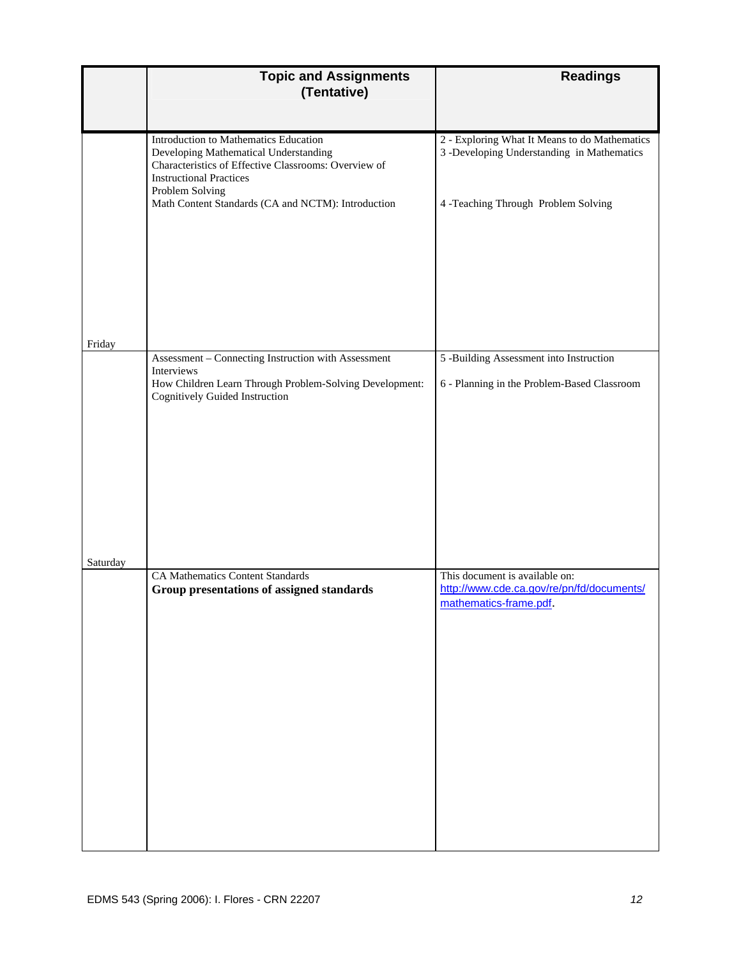|          | <b>Topic and Assignments</b><br>(Tentative)                                                                                                                                                                                                       | <b>Readings</b>                                                                                                                    |
|----------|---------------------------------------------------------------------------------------------------------------------------------------------------------------------------------------------------------------------------------------------------|------------------------------------------------------------------------------------------------------------------------------------|
|          |                                                                                                                                                                                                                                                   |                                                                                                                                    |
|          | Introduction to Mathematics Education<br>Developing Mathematical Understanding<br>Characteristics of Effective Classrooms: Overview of<br><b>Instructional Practices</b><br>Problem Solving<br>Math Content Standards (CA and NCTM): Introduction | 2 - Exploring What It Means to do Mathematics<br>3 -Developing Understanding in Mathematics<br>4 -Teaching Through Problem Solving |
| Friday   |                                                                                                                                                                                                                                                   |                                                                                                                                    |
|          | Assessment - Connecting Instruction with Assessment<br>Interviews                                                                                                                                                                                 | 5 -Building Assessment into Instruction                                                                                            |
| Saturday | How Children Learn Through Problem-Solving Development:<br>Cognitively Guided Instruction                                                                                                                                                         | 6 - Planning in the Problem-Based Classroom                                                                                        |
|          | <b>CA Mathematics Content Standards</b><br>Group presentations of assigned standards                                                                                                                                                              | This document is available on:<br>http://www.cde.ca.gov/re/pn/fd/documents/<br>mathematics-frame.pdf.                              |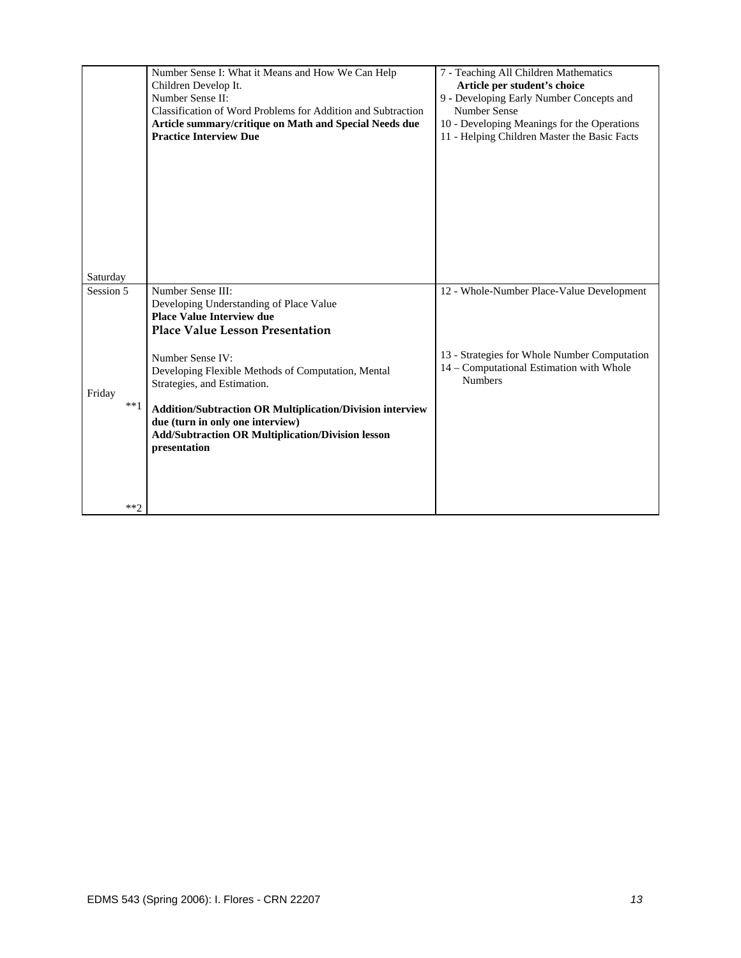|                  | Number Sense I: What it Means and How We Can Help<br>Children Develop It.<br>Number Sense II:<br>Classification of Word Problems for Addition and Subtraction<br>Article summary/critique on Math and Special Needs due<br><b>Practice Interview Due</b>                                  | 7 - Teaching All Children Mathematics<br>Article per student's choice<br>9 - Developing Early Number Concepts and<br><b>Number Sense</b><br>10 - Developing Meanings for the Operations<br>11 - Helping Children Master the Basic Facts |
|------------------|-------------------------------------------------------------------------------------------------------------------------------------------------------------------------------------------------------------------------------------------------------------------------------------------|-----------------------------------------------------------------------------------------------------------------------------------------------------------------------------------------------------------------------------------------|
| Saturday         |                                                                                                                                                                                                                                                                                           |                                                                                                                                                                                                                                         |
| Session 5        | Number Sense III:<br>Developing Understanding of Place Value<br><b>Place Value Interview due</b><br><b>Place Value Lesson Presentation</b>                                                                                                                                                | 12 - Whole-Number Place-Value Development                                                                                                                                                                                               |
| Friday<br>$***1$ | Number Sense IV:<br>Developing Flexible Methods of Computation, Mental<br>Strategies, and Estimation.<br><b>Addition/Subtraction OR Multiplication/Division interview</b><br>due (turn in only one interview)<br><b>Add/Subtraction OR Multiplication/Division lesson</b><br>presentation | 13 - Strategies for Whole Number Computation<br>14 - Computational Estimation with Whole<br><b>Numbers</b>                                                                                                                              |
| $***2$           |                                                                                                                                                                                                                                                                                           |                                                                                                                                                                                                                                         |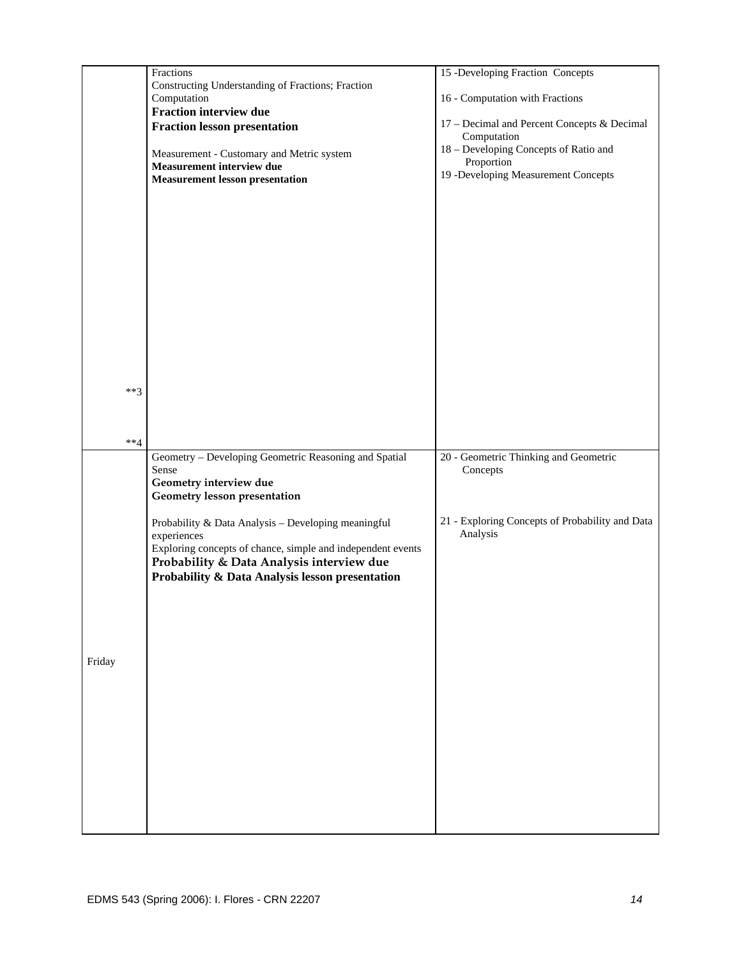|        |        | Fractions                                                                                                | 15 -Developing Fraction Concepts                            |
|--------|--------|----------------------------------------------------------------------------------------------------------|-------------------------------------------------------------|
|        |        | Constructing Understanding of Fractions; Fraction                                                        |                                                             |
|        |        | Computation                                                                                              | 16 - Computation with Fractions                             |
|        |        | Fraction interview due                                                                                   |                                                             |
|        |        | <b>Fraction lesson presentation</b>                                                                      | 17 - Decimal and Percent Concepts & Decimal                 |
|        |        |                                                                                                          | Computation<br>18 - Developing Concepts of Ratio and        |
|        |        | Measurement - Customary and Metric system                                                                | Proportion                                                  |
|        |        | Measurement interview due                                                                                | 19 -Developing Measurement Concepts                         |
|        |        | <b>Measurement lesson presentation</b>                                                                   |                                                             |
|        |        |                                                                                                          |                                                             |
|        |        |                                                                                                          |                                                             |
|        |        |                                                                                                          |                                                             |
|        |        |                                                                                                          |                                                             |
|        |        |                                                                                                          |                                                             |
|        |        |                                                                                                          |                                                             |
|        |        |                                                                                                          |                                                             |
|        |        |                                                                                                          |                                                             |
|        |        |                                                                                                          |                                                             |
|        |        |                                                                                                          |                                                             |
|        |        |                                                                                                          |                                                             |
|        |        |                                                                                                          |                                                             |
|        |        |                                                                                                          |                                                             |
|        | $***3$ |                                                                                                          |                                                             |
|        |        |                                                                                                          |                                                             |
|        |        |                                                                                                          |                                                             |
|        |        |                                                                                                          |                                                             |
|        | $**4$  |                                                                                                          |                                                             |
|        |        |                                                                                                          |                                                             |
|        |        | Geometry - Developing Geometric Reasoning and Spatial                                                    | 20 - Geometric Thinking and Geometric                       |
|        |        | Sense                                                                                                    | Concepts                                                    |
|        |        | Geometry interview due                                                                                   |                                                             |
|        |        | Geometry lesson presentation                                                                             |                                                             |
|        |        |                                                                                                          |                                                             |
|        |        | Probability & Data Analysis - Developing meaningful                                                      | 21 - Exploring Concepts of Probability and Data<br>Analysis |
|        |        | experiences                                                                                              |                                                             |
|        |        | Exploring concepts of chance, simple and independent events<br>Probability & Data Analysis interview due |                                                             |
|        |        | Probability & Data Analysis lesson presentation                                                          |                                                             |
|        |        |                                                                                                          |                                                             |
|        |        |                                                                                                          |                                                             |
|        |        |                                                                                                          |                                                             |
|        |        |                                                                                                          |                                                             |
|        |        |                                                                                                          |                                                             |
| Friday |        |                                                                                                          |                                                             |
|        |        |                                                                                                          |                                                             |
|        |        |                                                                                                          |                                                             |
|        |        |                                                                                                          |                                                             |
|        |        |                                                                                                          |                                                             |
|        |        |                                                                                                          |                                                             |
|        |        |                                                                                                          |                                                             |
|        |        |                                                                                                          |                                                             |
|        |        |                                                                                                          |                                                             |
|        |        |                                                                                                          |                                                             |
|        |        |                                                                                                          |                                                             |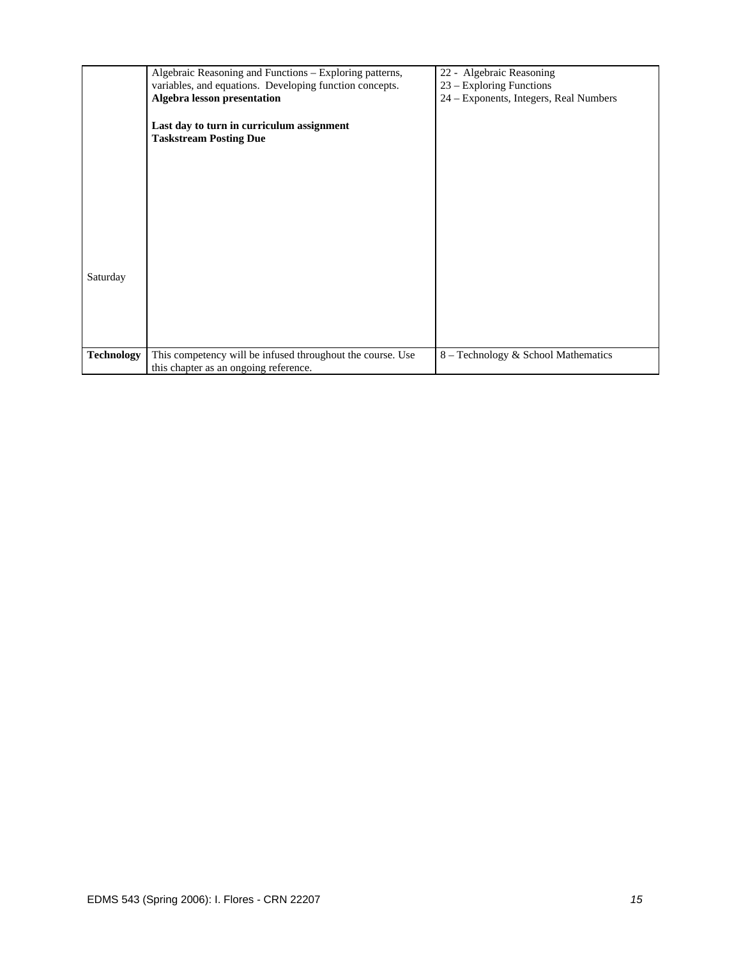|                   | Algebraic Reasoning and Functions - Exploring patterns,    | 22 - Algebraic Reasoning               |
|-------------------|------------------------------------------------------------|----------------------------------------|
|                   | variables, and equations. Developing function concepts.    | 23 – Exploring Functions               |
|                   | Algebra lesson presentation                                | 24 – Exponents, Integers, Real Numbers |
|                   |                                                            |                                        |
|                   | Last day to turn in curriculum assignment                  |                                        |
|                   | <b>Taskstream Posting Due</b>                              |                                        |
|                   |                                                            |                                        |
|                   |                                                            |                                        |
|                   |                                                            |                                        |
|                   |                                                            |                                        |
|                   |                                                            |                                        |
|                   |                                                            |                                        |
|                   |                                                            |                                        |
|                   |                                                            |                                        |
|                   |                                                            |                                        |
|                   |                                                            |                                        |
| Saturday          |                                                            |                                        |
|                   |                                                            |                                        |
|                   |                                                            |                                        |
|                   |                                                            |                                        |
|                   |                                                            |                                        |
|                   |                                                            |                                        |
|                   |                                                            |                                        |
| <b>Technology</b> | This competency will be infused throughout the course. Use | 8 – Technology & School Mathematics    |
|                   | this chapter as an ongoing reference.                      |                                        |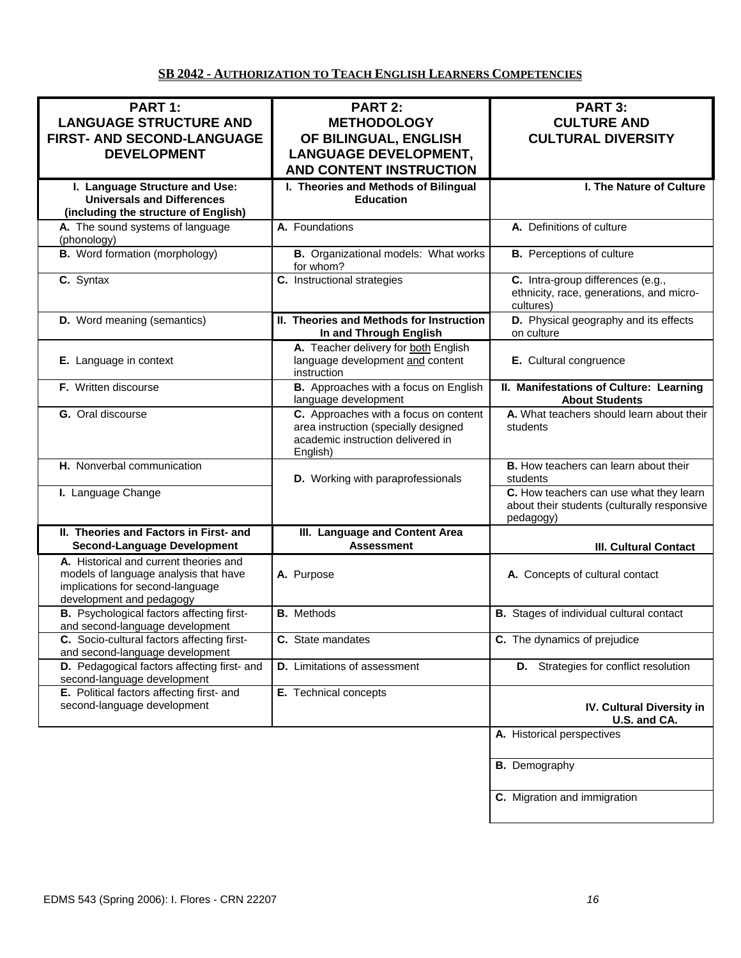#### **SB 2042 - AUTHORIZATION TO TEACH ENGLISH LEARNERS COMPETENCIES**

| PART 1:                                                                                                                                         | <b>PART 2:</b>                                                                                                                 | PART 3:                                                                                             |
|-------------------------------------------------------------------------------------------------------------------------------------------------|--------------------------------------------------------------------------------------------------------------------------------|-----------------------------------------------------------------------------------------------------|
| <b>LANGUAGE STRUCTURE AND</b>                                                                                                                   | <b>METHODOLOGY</b>                                                                                                             | <b>CULTURE AND</b>                                                                                  |
| <b>FIRST- AND SECOND-LANGUAGE</b>                                                                                                               | OF BILINGUAL, ENGLISH                                                                                                          | <b>CULTURAL DIVERSITY</b>                                                                           |
| <b>DEVELOPMENT</b>                                                                                                                              | <b>LANGUAGE DEVELOPMENT,</b>                                                                                                   |                                                                                                     |
|                                                                                                                                                 | <b>AND CONTENT INSTRUCTION</b>                                                                                                 |                                                                                                     |
| I. Language Structure and Use:                                                                                                                  | I. Theories and Methods of Bilingual                                                                                           | I. The Nature of Culture                                                                            |
| <b>Universals and Differences</b>                                                                                                               | <b>Education</b>                                                                                                               |                                                                                                     |
| (including the structure of English)                                                                                                            |                                                                                                                                |                                                                                                     |
| A. The sound systems of language<br>(phonology)                                                                                                 | A. Foundations                                                                                                                 | A. Definitions of culture                                                                           |
| <b>B.</b> Word formation (morphology)                                                                                                           | <b>B.</b> Organizational models: What works<br>for whom?                                                                       | <b>B.</b> Perceptions of culture                                                                    |
| C. Syntax                                                                                                                                       | C. Instructional strategies                                                                                                    | C. Intra-group differences (e.g.,<br>ethnicity, race, generations, and micro-<br>cultures)          |
| <b>D.</b> Word meaning (semantics)                                                                                                              | II. Theories and Methods for Instruction<br>In and Through English                                                             | D. Physical geography and its effects<br>on culture                                                 |
| E. Language in context                                                                                                                          | A. Teacher delivery for both English<br>language development and content<br>instruction                                        | E. Cultural congruence                                                                              |
| F. Written discourse                                                                                                                            | B. Approaches with a focus on English<br>language development                                                                  | II. Manifestations of Culture: Learning<br><b>About Students</b>                                    |
| <b>G.</b> Oral discourse                                                                                                                        | C. Approaches with a focus on content<br>area instruction (specially designed<br>academic instruction delivered in<br>English) | A. What teachers should learn about their<br>students                                               |
| H. Nonverbal communication                                                                                                                      | D. Working with paraprofessionals                                                                                              | <b>B.</b> How teachers can learn about their<br>students                                            |
| I. Language Change                                                                                                                              |                                                                                                                                | C. How teachers can use what they learn<br>about their students (culturally responsive<br>pedagogy) |
| II. Theories and Factors in First- and<br><b>Second-Language Development</b>                                                                    | III. Language and Content Area<br><b>Assessment</b>                                                                            | <b>III. Cultural Contact</b>                                                                        |
| A. Historical and current theories and<br>models of language analysis that have<br>implications for second-language<br>development and pedagogy | A. Purpose                                                                                                                     | A. Concepts of cultural contact                                                                     |
| <b>B.</b> Psychological factors affecting first-<br>and second-language development                                                             | <b>B.</b> Methods                                                                                                              | <b>B.</b> Stages of individual cultural contact                                                     |
| C. Socio-cultural factors affecting first-<br>and second-language development                                                                   | C. State mandates                                                                                                              | C. The dynamics of prejudice                                                                        |
| D. Pedagogical factors affecting first- and<br>second-language development                                                                      | <b>D.</b> Limitations of assessment                                                                                            | <b>D.</b> Strategies for conflict resolution                                                        |
| E. Political factors affecting first- and<br>second-language development                                                                        | E. Technical concepts                                                                                                          | IV. Cultural Diversity in<br>U.S. and CA.                                                           |
|                                                                                                                                                 |                                                                                                                                | A. Historical perspectives                                                                          |
|                                                                                                                                                 |                                                                                                                                | <b>B.</b> Demography                                                                                |
|                                                                                                                                                 |                                                                                                                                | C. Migration and immigration                                                                        |